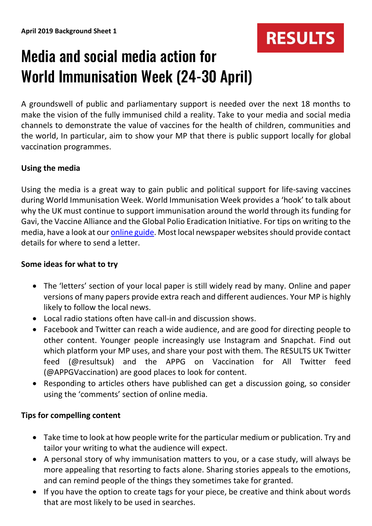

# Media and social media action for World Immunisation Week (24-30 April)

A groundswell of public and parliamentary support is needed over the next 18 months to make the vision of the fully immunised child a reality. Take to your media and social media channels to demonstrate the value of vaccines for the health of children, communities and the world, In particular, aim to show your MP that there is public support locally for global vaccination programmes.

### **Using the media**

Using the media is a great way to gain public and political support for life-saving vaccines during World Immunisation Week. World Immunisation Week provides a 'hook' to talk about why the UK must continue to support immunisation around the world through its funding for Gavi, the Vaccine Alliance and the Global Polio Eradication Initiative. For tips on writing to the media, have a look at our *online guide*. Most local newspaper websites should provide contact details for where to send a letter.

#### **Some ideas for what to try**

- The 'letters' section of your local paper is still widely read by many. Online and paper versions of many papers provide extra reach and different audiences. Your MP is highly likely to follow the local news.
- Local radio stations often have call-in and discussion shows.
- Facebook and Twitter can reach a wide audience, and are good for directing people to other content. Younger people increasingly use Instagram and Snapchat. Find out which platform your MP uses, and share your post with them. The RESULTS UK Twitter feed (@resultsuk) and the [APPG on Vaccination](https://twitter.com/appgvaccination?lang=en) for All Twitter feed (@APPGVaccination) are good places to look for content.
- Responding to articles others have published can get a discussion going, so consider using the 'comments' section of online media.

### **Tips for compelling content**

- Take time to look at how people write for the particular medium or publication. Try and tailor your writing to what the audience will expect.
- A personal story of why immunisation matters to you, or a case study, will always be more appealing that resorting to facts alone. Sharing stories appeals to the emotions, and can remind people of the things they sometimes take for granted.
- If you have the option to create tags for your piece, be creative and think about words that are most likely to be used in searches.